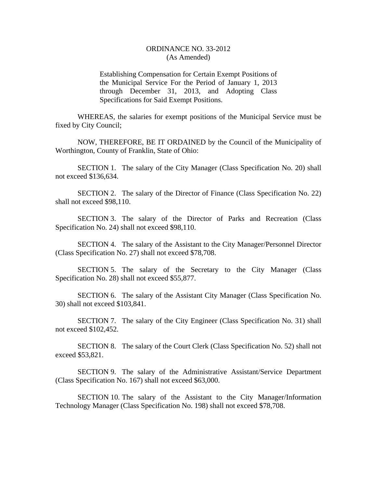## ORDINANCE NO. 33-2012 (As Amended)

Establishing Compensation for Certain Exempt Positions of the Municipal Service For the Period of January 1, 2013 through December 31, 2013, and Adopting Class Specifications for Said Exempt Positions.

WHEREAS, the salaries for exempt positions of the Municipal Service must be fixed by City Council;

NOW, THEREFORE, BE IT ORDAINED by the Council of the Municipality of Worthington, County of Franklin, State of Ohio:

SECTION 1. The salary of the City Manager (Class Specification No. 20) shall not exceed \$136,634.

SECTION 2. The salary of the Director of Finance (Class Specification No. 22) shall not exceed \$98,110.

SECTION 3. The salary of the Director of Parks and Recreation (Class Specification No. 24) shall not exceed \$98,110.

SECTION 4. The salary of the Assistant to the City Manager/Personnel Director (Class Specification No. 27) shall not exceed \$78,708.

SECTION 5. The salary of the Secretary to the City Manager (Class Specification No. 28) shall not exceed \$55,877.

SECTION 6. The salary of the Assistant City Manager (Class Specification No. 30) shall not exceed \$103,841.

SECTION 7. The salary of the City Engineer (Class Specification No. 31) shall not exceed \$102,452.

SECTION 8. The salary of the Court Clerk (Class Specification No. 52) shall not exceed \$53,821.

SECTION 9. The salary of the Administrative Assistant/Service Department (Class Specification No. 167) shall not exceed \$63,000.

SECTION 10. The salary of the Assistant to the City Manager/Information Technology Manager (Class Specification No. 198) shall not exceed \$78,708.